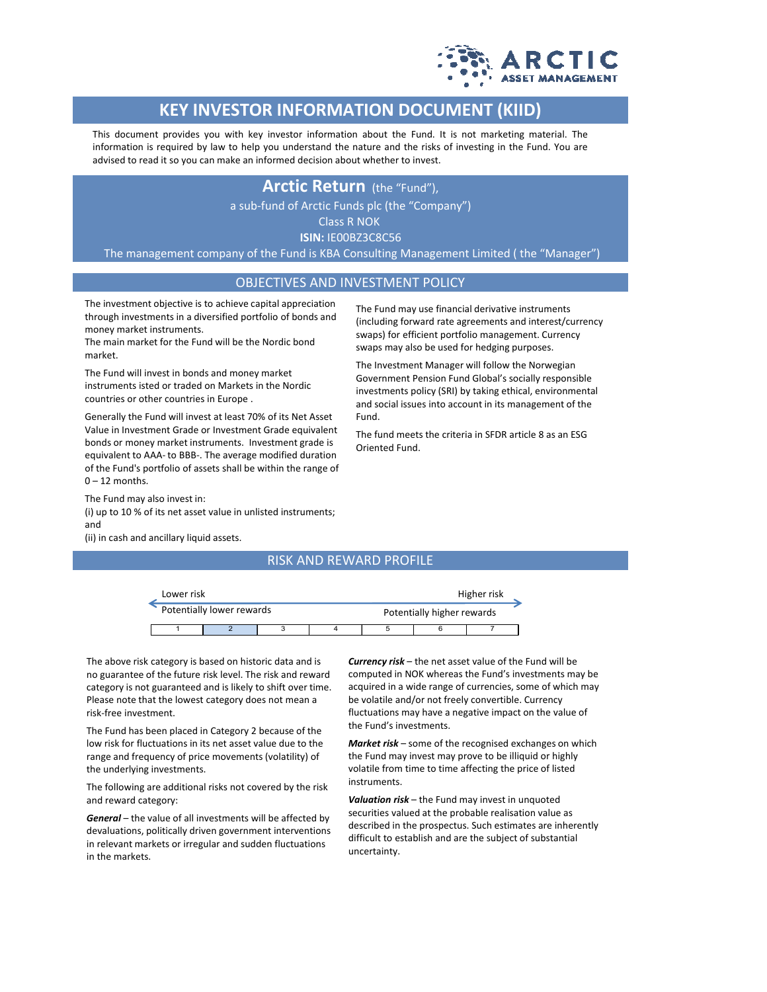

# **KEY INVESTOR INFORMATION DOCUMENT (KIID)**

This document provides you with key investor information about the Fund. It is not marketing material. The information is required by law to help you understand the nature and the risks of investing in the Fund. You are advised to read it so you can make an informed decision about whether to invest.

## **Arctic Return** (the "Fund"),

a sub-fund of Arctic Funds plc (the "Company")

Class R NOK

**ISIN:** IE00BZ3C8C56

The management company of the Fund is KBA Consulting Management Limited ( the "Manager")

### OBJECTIVES AND INVESTMENT POLICY

The investment objective is to achieve capital appreciation through investments in a diversified portfolio of bonds and money market instruments.

The main market for the Fund will be the Nordic bond market.

The Fund will invest in bonds and money market instruments isted or traded on Markets in the Nordic countries or other countries in Europe .

Generally the Fund will invest at least 70% of its Net Asset Value in Investment Grade or Investment Grade equivalent bonds or money market instruments. Investment grade is equivalent to AAA- to BBB-. The average modified duration of the Fund's portfolio of assets shall be within the range of  $0 - 12$  months.

The Fund may also invest in: (i) up to 10 % of its net asset value in unlisted instruments; and

(ii) in cash and ancillary liquid assets.

#### RISK AND REWARD PROFILE

Fund.

Oriented Fund.

| Lower risk                |  |  |  |  | Higher risk                |  |  |
|---------------------------|--|--|--|--|----------------------------|--|--|
| Potentially lower rewards |  |  |  |  | Potentially higher rewards |  |  |
|                           |  |  |  |  |                            |  |  |

The above risk category is based on historic data and is no guarantee of the future risk level. The risk and reward category is not guaranteed and is likely to shift over time. Please note that the lowest category does not mean a risk-free investment.

The Fund has been placed in Category 2 because of the low risk for fluctuations in its net asset value due to the range and frequency of price movements (volatility) of the underlying investments.

The following are additional risks not covered by the risk and reward category:

*General* – the value of all investments will be affected by devaluations, politically driven government interventions in relevant markets or irregular and sudden fluctuations in the markets.

*Currency risk* – the net asset value of the Fund will be computed in NOK whereas the Fund's investments may be acquired in a wide range of currencies, some of which may be volatile and/or not freely convertible. Currency fluctuations may have a negative impact on the value of the Fund's investments.

The Fund may use financial derivative instruments (including forward rate agreements and interest/currency swaps) for efficient portfolio management. Currency swaps may also be used for hedging purposes. The Investment Manager will follow the Norwegian Government Pension Fund Global's socially responsible investments policy (SRI) by taking ethical, environmental and social issues into account in its management of the

The fund meets the criteria in SFDR article 8 as an ESG

*Market risk* – some of the recognised exchanges on which the Fund may invest may prove to be illiquid or highly volatile from time to time affecting the price of listed instruments.

*Valuation risk* – the Fund may invest in unquoted securities valued at the probable realisation value as described in the prospectus. Such estimates are inherently difficult to establish and are the subject of substantial uncertainty.